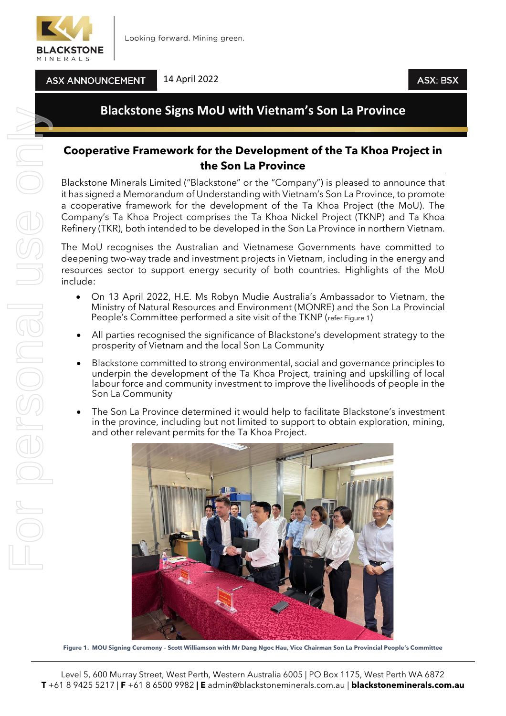

**ASX ANNOUNCEMENT** 

14 April 2022

## **Blackstone Signs MoU with Vietnam's Son La Province**

## **Cooperative Framework for the Development of the Ta Khoa Project in the Son La Province**

Blackstone Minerals Limited ("Blackstone" or the "Company") is pleased to announce that it has signed a Memorandum of Understanding with Vietnam's Son La Province, to promote a cooperative framework for the development of the Ta Khoa Project (the MoU). The Company's Ta Khoa Project comprises the Ta Khoa Nickel Project (TKNP) and Ta Khoa Refinery (TKR), both intended to be developed in the Son La Province in northern Vietnam.

The MoU recognises the Australian and Vietnamese Governments have committed to deepening two-way trade and investment projects in Vietnam, including in the energy and resources sector to support energy security of both countries. Highlights of the MoU include:

- On 13 April 2022, H.E. Ms Robyn Mudie Australia's Ambassador to Vietnam, the Ministry of Natural Resources and Environment (MONRE) and the Son La Provincial People's Committee performed a site visit of the TKNP (refer Figure 1)
- All parties recognised the significance of Blackstone's development strategy to the prosperity of Vietnam and the local Son La Community
- Blackstone committed to strong environmental, social and governance principles to underpin the development of the Ta Khoa Project, training and upskilling of local labour force and community investment to improve the livelihoods of people in the Son La Community
- The Son La Province determined it would help to facilitate Blackstone's investment in the province, including but not limited to support to obtain exploration, mining, and other relevant permits for the Ta Khoa Project.



**Figure 1. MOU Signing Ceremony – Scott Williamson with Mr Dang Ngoc Hau, Vice Chairman Son La Provincial People's Committee**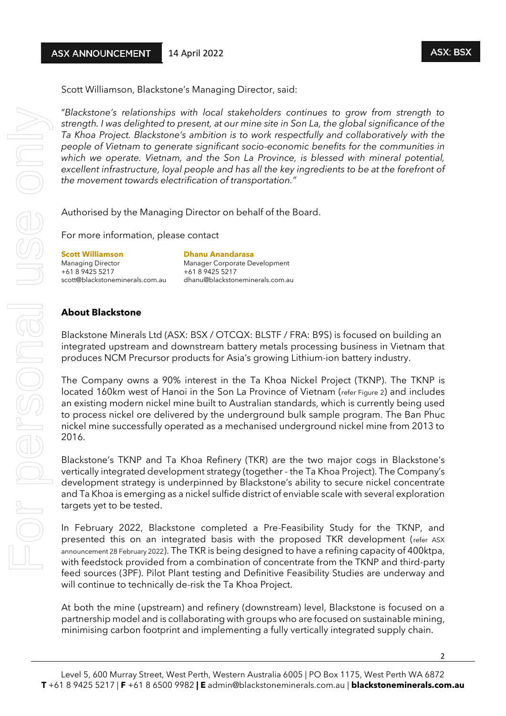Scott Williamson, Blackstone's Managing Director, said:

"*Blackstone's relationships with local stakeholders continues to grow from strength to strength. I was delighted to present, at our mine site in Son La, the global significance of the Ta Khoa Project. Blackstone's ambition is to work respectfully and collaboratively with the people of Vietnam to generate significant socio-economic benefits for the communities in which we operate. Vietnam, and the Son La Province, is blessed with mineral potential, excellent infrastructure, loyal people and has all the key ingredients to be at the forefront of the movement towards electrification of transportation."*

Authorised by the Managing Director on behalf of the Board.

For more information, please contact

**Scott Williamson Dhanu Anandarasa** Managing Director Manager Corporate Development +61 8 9425 5217 +61 8 9425 5217

scott@blackstoneminerals.com.au dhanu@blackstoneminerals.com.au

## **About Blackstone**

For personal use only

For personal

USS ON

Blackstone Minerals Ltd (ASX: BSX / OTCQX: BLSTF / FRA: B9S) is focused on building an integrated upstream and downstream battery metals processing business in Vietnam that produces NCM Precursor products for Asia's growing Lithium-ion battery industry.

The Company owns a 90% interest in the Ta Khoa Nickel Project (TKNP). The TKNP is located 160km west of Hanoi in the Son La Province of Vietnam (refer Figure 2) and includes an existing modern nickel mine built to Australian standards, which is currently being used to process nickel ore delivered by the underground bulk sample program. The Ban Phuc nickel mine successfully operated as a mechanised underground nickel mine from 2013 to 2016.

Blackstone's TKNP and Ta Khoa Refinery (TKR) are the two major cogs in Blackstone's vertically integrated development strategy (together - the Ta Khoa Project). The Company's development strategy is underpinned by Blackstone's ability to secure nickel concentrate and Ta Khoa is emerging as a nickel sulfide district of enviable scale with several exploration targets yet to be tested.

In February 2022, Blackstone completed a Pre-Feasibility Study for the TKNP, and presented this on an integrated basis with the proposed TKR development (refer ASX announcement 28 February 2022). The TKR is being designed to have a refining capacity of 400ktpa, with feedstock provided from a combination of concentrate from the TKNP and third-party feed sources (3PF). Pilot Plant testing and Definitive Feasibility Studies are underway and will continue to technically de-risk the Ta Khoa Project.

At both the mine (upstream) and refinery (downstream) level, Blackstone is focused on a partnership model and is collaborating with groups who are focused on sustainable mining, minimising carbon footprint and implementing a fully vertically integrated supply chain.